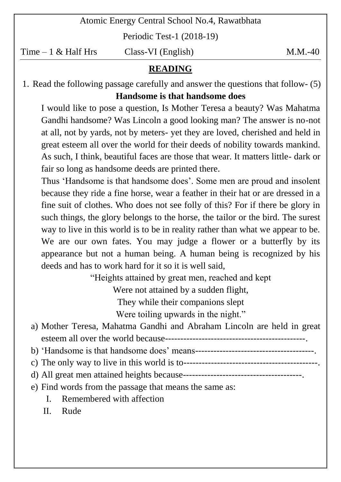Atomic Energy Central School No.4, Rawatbhata

Periodic Test-1 (2018-19)

 $Time - 1 \& Half Hrs$  Class-VI (English) M.M.-40

## **READING**

1. Read the following passage carefully and answer the questions that follow- (5) **Handsome is that handsome does**

I would like to pose a question, Is Mother Teresa a beauty? Was Mahatma Gandhi handsome? Was Lincoln a good looking man? The answer is no-not at all, not by yards, not by meters- yet they are loved, cherished and held in great esteem all over the world for their deeds of nobility towards mankind. As such, I think, beautiful faces are those that wear. It matters little- dark or fair so long as handsome deeds are printed there.

Thus 'Handsome is that handsome does'. Some men are proud and insolent because they ride a fine horse, wear a feather in their hat or are dressed in a fine suit of clothes. Who does not see folly of this? For if there be glory in such things, the glory belongs to the horse, the tailor or the bird. The surest way to live in this world is to be in reality rather than what we appear to be. We are our own fates. You may judge a flower or a butterfly by its appearance but not a human being. A human being is recognized by his deeds and has to work hard for it so it is well said,

"Heights attained by great men, reached and kept

Were not attained by a sudden flight,

They while their companions slept

Were toiling upwards in the night."

- a) Mother Teresa, Mahatma Gandhi and Abraham Lincoln are held in great esteem all over the world because----------------------------------------------.
- b) "Handsome is that handsome does" means---------------------------------------.
- c) The only way to live in this world is to--------------------------------------------.
- d) All great men attained heights because---------------------------------------.
- e) Find words from the passage that means the same as:
	- I. Remembered with affection

II. Rude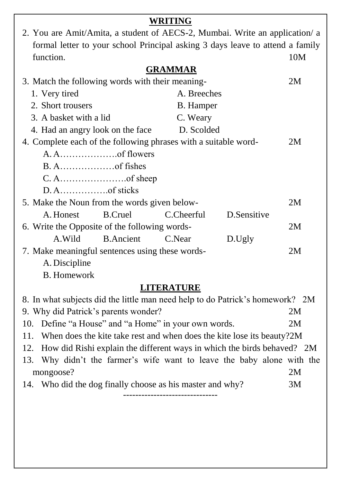|                                                                             |                                                  | WRITING                                                                       |             |     |  |
|-----------------------------------------------------------------------------|--------------------------------------------------|-------------------------------------------------------------------------------|-------------|-----|--|
| 2. You are Amit/Amita, a student of AECS-2, Mumbai. Write an application/ a |                                                  |                                                                               |             |     |  |
|                                                                             |                                                  | formal letter to your school Principal asking 3 days leave to attend a family |             |     |  |
| function.                                                                   |                                                  |                                                                               |             | 10M |  |
|                                                                             |                                                  | <b>GRAMMAR</b>                                                                |             |     |  |
|                                                                             | 3. Match the following words with their meaning- |                                                                               |             |     |  |
| 1. Very tired                                                               |                                                  | A. Breeches                                                                   |             |     |  |
| 2. Short trousers                                                           |                                                  | <b>B.</b> Hamper                                                              |             |     |  |
| 3. A basket with a lid                                                      |                                                  | C. Weary                                                                      |             |     |  |
| 4. Had an angry look on the face                                            |                                                  | D. Scolded                                                                    |             |     |  |
| 4. Complete each of the following phrases with a suitable word-             |                                                  |                                                                               |             | 2M  |  |
|                                                                             |                                                  |                                                                               |             |     |  |
|                                                                             |                                                  |                                                                               |             |     |  |
|                                                                             |                                                  |                                                                               |             |     |  |
|                                                                             |                                                  |                                                                               |             |     |  |
| 5. Make the Noun from the words given below-                                |                                                  |                                                                               |             | 2M  |  |
| A. Honest                                                                   | <b>B.Cruel</b>                                   | C.Cheerful                                                                    | D.Sensitive |     |  |
| 6. Write the Opposite of the following words-                               |                                                  |                                                                               |             | 2M  |  |
| A.Wild                                                                      | <b>B.Ancient</b>                                 | C.Near                                                                        | D.Ugly      |     |  |
| 7. Make meaningful sentences using these words-                             |                                                  |                                                                               | 2M          |     |  |
| A. Discipline                                                               |                                                  |                                                                               |             |     |  |
| <b>B.</b> Homework                                                          |                                                  |                                                                               |             |     |  |
| <b>LITERATURE</b>                                                           |                                                  |                                                                               |             |     |  |

| 8. In what subjects did the little man need help to do Patrick's homework? 2M |                                                                             |    |  |  |
|-------------------------------------------------------------------------------|-----------------------------------------------------------------------------|----|--|--|
|                                                                               | 9. Why did Patrick's parents wonder?                                        | 2M |  |  |
|                                                                               | 10. Define "a House" and "a Home" in your own words.                        | 2M |  |  |
|                                                                               | 11. When does the kite take rest and when does the kite lose its beauty?2M  |    |  |  |
|                                                                               | 12. How did Rishi explain the different ways in which the birds behaved? 2M |    |  |  |
|                                                                               | 13. Why didn't the farmer's wife want to leave the baby alone with the      |    |  |  |
|                                                                               | mongoose?                                                                   | 2M |  |  |
|                                                                               | 14. Who did the dog finally choose as his master and why?                   | 3M |  |  |

-------------------------------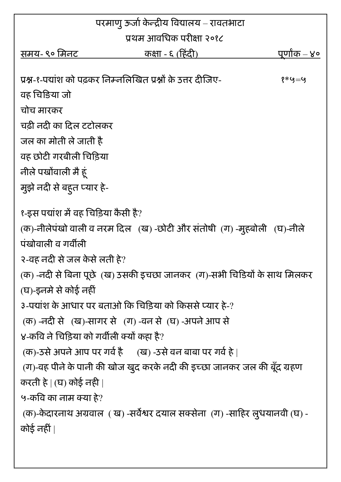| परमाणु ऊर्जा केन्द्रीय विद्यालय – रावतभाटा                                                     |                                                                                                               |                     |  |  |
|------------------------------------------------------------------------------------------------|---------------------------------------------------------------------------------------------------------------|---------------------|--|--|
|                                                                                                | प्रथम आवधिक परीक्षा २०१८                                                                                      |                     |  |  |
| समय- ९० मिनट                                                                                   | कक्षा - ६ (हिंदी)                                                                                             | <u>पूर्णोक – ४०</u> |  |  |
|                                                                                                |                                                                                                               |                     |  |  |
|                                                                                                | प्रश्न-१-पयांश को पढकर निम्नलिखित प्रश्नों के उत्तर दीजिए-                                                    | १ $*$ ५ $=$ ५       |  |  |
| वह चिङिया जो                                                                                   |                                                                                                               |                     |  |  |
| चोच मारकर                                                                                      |                                                                                                               |                     |  |  |
| चढी नदी का दिल टटोलकर                                                                          |                                                                                                               |                     |  |  |
| जल का मोती ले जाती है                                                                          |                                                                                                               |                     |  |  |
| वह छोटी गरबीली चिडिया                                                                          |                                                                                                               |                     |  |  |
| नीले पखोंवाली मै हूं                                                                           |                                                                                                               |                     |  |  |
| मुझे नदी से बहुत प्यार हे-                                                                     |                                                                                                               |                     |  |  |
| पंखोवाली व गर्वीली                                                                             | १-इस पद्यांश में वह चिड़िया कैसी है?<br>(क)-नीलेपंखो वाली व नरम दिल (ख) -छोटी और संतोषी (ग) -मुहबोली (घ)-नीले |                     |  |  |
|                                                                                                | २-वह नदी से जल केसे लती हे?                                                                                   |                     |  |  |
| (क) -नदी से बिना पूछे (ख) उसकी इचछा जानकर (ग)-सभी चिडियों के साथ मिलकर<br>(घ)-इनमे से कोई नहीं |                                                                                                               |                     |  |  |
|                                                                                                | ३-पद्यांश के आधार पर बताओं कि चिड़िया को किससे प्यार हे-?                                                     |                     |  |  |
|                                                                                                | (क) -नदी से ) (ख)-सागर से ) (ग) -वन से (घ) -अपने आप से                                                        |                     |  |  |
|                                                                                                | ४-कवि ने चिड़िया को गर्वीली क्यों कहा है?                                                                     |                     |  |  |
| (क)-उसे अपने आप पर गर्व है ) (ख) -उसे वन बाबा पर गर्व है                                       |                                                                                                               |                     |  |  |
| (ग)-वह पीने के पानी की खोज खुद करके नदी की इच्छा जानकर जल की बूँद ग्रहण                        |                                                                                                               |                     |  |  |
| करती हे   (घ) कोई नही                                                                          |                                                                                                               |                     |  |  |
| ५-कवि का नाम क्या हे?                                                                          |                                                                                                               |                     |  |  |
|                                                                                                | (क)-केदारनाथ अग्रवाल ( ख) -सर्वेश्वर दयाल सक्सेना (ग) -साहिर लुधयानवी (घ) -                                   |                     |  |  |
| कोई नहीं                                                                                       |                                                                                                               |                     |  |  |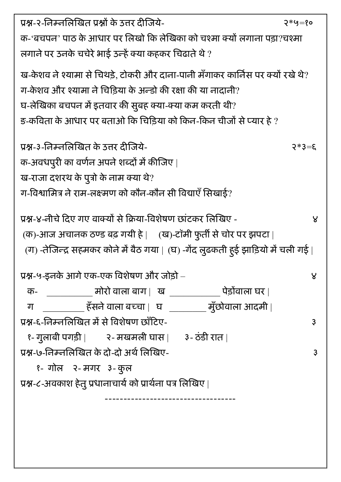| प्रश्न-२-निम्नलिखित प्रश्नों के उत्तर दीजिये-                                   | २*५=१०         |  |  |
|---------------------------------------------------------------------------------|----------------|--|--|
| क-'बचपन' पाठ के आधार पर लिखो कि लेखिका को चश्मा क्यों लगाना पड़ा?चश्मा          |                |  |  |
| लगाने पर उनके चचेरे भाई उन्हें क्या कहकर चिढाते थे ?                            |                |  |  |
| ख-केशव ने श्यामा से चिथड़े, टोकरी और दाना-पानी मँगाकर कार्निस पर क्यों रखे थे?  |                |  |  |
| ग-केशव और श्यामा ने चिडिया के अन्डो की रक्षा की या नादानी?                      |                |  |  |
| घ-लेखिका बचपन में इतवार की सुबह क्या-क्या कम करती थी?                           |                |  |  |
| ङ-कविता के आधार पर बताओ कि चिड़िया को किन-किन चीजों से प्यार है ?               |                |  |  |
|                                                                                 |                |  |  |
| प्रश्न-३-निम्नलिखित के उत्तर दीजिये-                                            | $3 = \xi * 5$  |  |  |
| क-अवधपुरी का वर्णन अपने शब्दों में कीजिए                                        |                |  |  |
| ख-राजा दशरथ के पुत्रों के नाम क्या थे?                                          |                |  |  |
| ग-विश्वामित्र ने राम-लक्ष्मण को कौन-कौन सी विद्याएँ सिखाई?                      |                |  |  |
|                                                                                 |                |  |  |
| प्रश्न-४-नीचे दिए गए वाक्यों से क्रिया-विशेषण छांटकर लिखिए -                    | ୪              |  |  |
| (क)-आज अचानक ठण्ड बढ़ गयी हे   (ख)-टॉमी फुर्ती से चोर पर झपटा                   |                |  |  |
| (ग) -तेजिन्द्र सहमकर कोने में बैठ गया   (घ) -गेंद लुढकती ह्ई झाड़ियो में चली गई |                |  |  |
|                                                                                 |                |  |  |
| प्रश्न-५-इनके आगे एक-एक विशेषण और जोड़ो –                                       | ४              |  |  |
| ______________ मोरो वाला बाग    ख  _____________<br>पेड़ोंवाला घर  <br>क-       |                |  |  |
| ____________हँसने वाला बच्चा     घ  ___________ मुँछोवाला आदमी  <br>ग           |                |  |  |
| प्रश्न-६-निम्नलिखित में से विशेषण छाँटिए-                                       | $\mathfrak{Z}$ |  |  |
| १- गुलाबी पगड़ी          २- मखमली घास         ३- ठंडी रात                       |                |  |  |
| प्रश्न-७-निम्नलिखित के दो-दो अर्थ लिखिए-                                        | $\mathfrak{Z}$ |  |  |
| १- गोल - २- मगर - २ कुल                                                         |                |  |  |
| प्रश्न-८-अवकाश हेतु प्रधानाचार्य को प्रार्थना पत्र लिखिए                        |                |  |  |
|                                                                                 |                |  |  |
|                                                                                 |                |  |  |
|                                                                                 |                |  |  |
|                                                                                 |                |  |  |
|                                                                                 |                |  |  |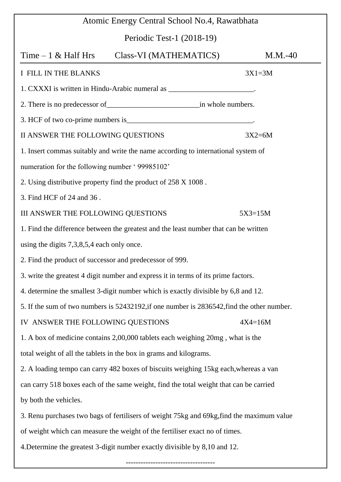| Atomic Energy Central School No.4, Rawatbhata                                              |           |  |  |  |
|--------------------------------------------------------------------------------------------|-----------|--|--|--|
| Periodic Test-1 (2018-19)                                                                  |           |  |  |  |
| Time $-1$ & Half Hrs<br>Class-VI (MATHEMATICS)                                             | $M.M.-40$ |  |  |  |
| I FILL IN THE BLANKS                                                                       | $3X1=3M$  |  |  |  |
| 1. CXXXI is written in Hindu-Arabic numeral as _________________________.                  |           |  |  |  |
|                                                                                            |           |  |  |  |
|                                                                                            |           |  |  |  |
| II ANSWER THE FOLLOWING QUESTIONS                                                          | $3X2=6M$  |  |  |  |
| 1. Insert commas suitably and write the name according to international system of          |           |  |  |  |
| numeration for the following number '99985102'                                             |           |  |  |  |
| 2. Using distributive property find the product of 258 X 1008.                             |           |  |  |  |
| 3. Find HCF of 24 and 36.                                                                  |           |  |  |  |
| III ANSWER THE FOLLOWING QUESTIONS<br>$5X3=15M$                                            |           |  |  |  |
| 1. Find the difference between the greatest and the least number that can be written       |           |  |  |  |
| using the digits $7,3,8,5,4$ each only once.                                               |           |  |  |  |
| 2. Find the product of successor and predecessor of 999.                                   |           |  |  |  |
| 3. write the greatest 4 digit number and express it in terms of its prime factors.         |           |  |  |  |
| 4. determine the smallest 3-digit number which is exactly divisible by 6,8 and 12.         |           |  |  |  |
| 5. If the sum of two numbers is 52432192, if one number is 2836542, find the other number. |           |  |  |  |
| IV ANSWER THE FOLLOWING QUESTIONS<br>$4X4=16M$                                             |           |  |  |  |
| 1. A box of medicine contains 2,00,000 tablets each weighing 20mg, what is the             |           |  |  |  |
| total weight of all the tablets in the box in grams and kilograms.                         |           |  |  |  |
| 2. A loading tempo can carry 482 boxes of biscuits weighing 15kg each, whereas a van       |           |  |  |  |
| can carry 518 boxes each of the same weight, find the total weight that can be carried     |           |  |  |  |
| by both the vehicles.                                                                      |           |  |  |  |
| 3. Renu purchases two bags of fertilisers of weight 75kg and 69kg, find the maximum value  |           |  |  |  |
| of weight which can measure the weight of the fertiliser exact no of times.                |           |  |  |  |
| 4. Determine the greatest 3-digit number exactly divisible by 8,10 and 12.                 |           |  |  |  |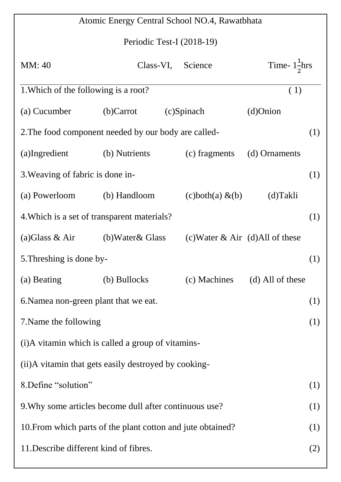| Atomic Energy Central School NO.4, Rawatbhata               |                                        |  |                                        |                               |     |
|-------------------------------------------------------------|----------------------------------------|--|----------------------------------------|-------------------------------|-----|
| Periodic Test-I (2018-19)                                   |                                        |  |                                        |                               |     |
| MM: 40                                                      |                                        |  | Class-VI, Science                      | Time- $1\frac{1}{2}$ hrs      |     |
| 1. Which of the following is a root?                        |                                        |  |                                        | (1)                           |     |
| (a) Cucumber                                                | $(b)$ Carrot                           |  | (c)Spinach                             | $(d)$ Onion                   |     |
| 2. The food component needed by our body are called-        |                                        |  |                                        |                               | (1) |
| (a)Ingredient                                               | (b) Nutrients                          |  | (c) fragments                          | (d) Ornaments                 |     |
| 3. Weaving of fabric is done in-                            |                                        |  |                                        |                               | (1) |
| (a) Powerloom                                               | (b) Handloom                           |  | $\Delta$ (c)both $\Delta$ (a) $\&$ (b) | (d)Takli                      |     |
| 4. Which is a set of transparent materials?                 |                                        |  |                                        |                               | (1) |
| (a) Glass & Air                                             | (b)Water& Glass                        |  | (c) Water $\&$ Air (d) All of these    |                               |     |
| 5. Threshing is done by-                                    |                                        |  |                                        |                               | (1) |
| (a) Beating                                                 | (b) Bullocks                           |  |                                        | (c) Machines (d) All of these |     |
| 6. Namea non-green plant that we eat.                       |                                        |  |                                        | (1)                           |     |
| 7. Name the following                                       |                                        |  |                                        | (1)                           |     |
| (i) A vitamin which is called a group of vitamins-          |                                        |  |                                        |                               |     |
| (ii)A vitamin that gets easily destroyed by cooking-        |                                        |  |                                        |                               |     |
| 8. Define "solution"                                        |                                        |  |                                        | (1)                           |     |
| 9. Why some articles become dull after continuous use?      |                                        |  |                                        | (1)                           |     |
| 10. From which parts of the plant cotton and jute obtained? |                                        |  |                                        | (1)                           |     |
|                                                             | 11. Describe different kind of fibres. |  |                                        |                               | (2) |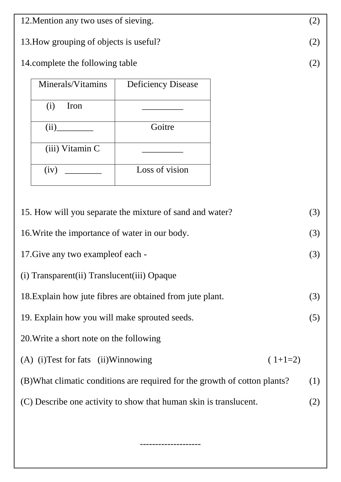| 12. Mention any two uses of sieving.                                       |                                                          |     |  |
|----------------------------------------------------------------------------|----------------------------------------------------------|-----|--|
| 13. How grouping of objects is useful?                                     |                                                          |     |  |
| 14. complete the following table                                           |                                                          |     |  |
| Minerals/Vitamins                                                          | <b>Deficiency Disease</b>                                |     |  |
| (i)<br>Iron                                                                |                                                          |     |  |
| (ii)                                                                       | Goitre                                                   |     |  |
| (iii) Vitamin C                                                            |                                                          |     |  |
| (iv)                                                                       | Loss of vision                                           |     |  |
|                                                                            |                                                          |     |  |
|                                                                            | 15. How will you separate the mixture of sand and water? | (3) |  |
| 16. Write the importance of water in our body.                             |                                                          |     |  |
| 17. Give any two example of each -                                         |                                                          |     |  |
| (i) Transparent(ii) Translucent(iii) Opaque                                |                                                          |     |  |
| 18. Explain how jute fibres are obtained from jute plant.                  |                                                          |     |  |
| 19. Explain how you will make sprouted seeds.                              |                                                          |     |  |
| 20. Write a short note on the following                                    |                                                          |     |  |
| (A) (i) Test for fats (ii) Winnowing<br>$(1+1=2)$                          |                                                          |     |  |
| (B) What climatic conditions are required for the growth of cotton plants? |                                                          |     |  |
| (1)<br>(C) Describe one activity to show that human skin is translucent.   |                                                          |     |  |
| (2)                                                                        |                                                          |     |  |

--------------------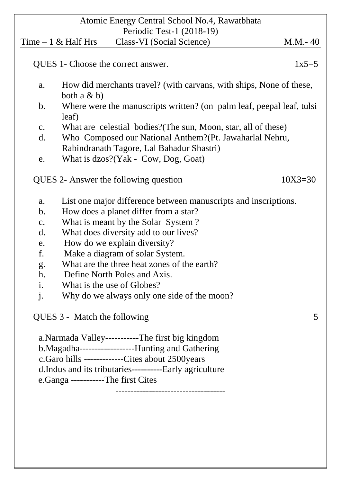|                           |                                                   | Atomic Energy Central School No.4, Rawatbhata                   |                                                                       |  |  |
|---------------------------|---------------------------------------------------|-----------------------------------------------------------------|-----------------------------------------------------------------------|--|--|
| Periodic Test-1 (2018-19) |                                                   |                                                                 |                                                                       |  |  |
|                           | Time $-1$ & Half Hrs                              | Class-VI (Social Science)                                       | $M.M.-40$                                                             |  |  |
|                           |                                                   | QUES 1- Choose the correct answer.                              | $1x5=5$                                                               |  |  |
| a.                        | both a $\& b)$                                    |                                                                 | How did merchants travel? (with carvans, with ships, None of these,   |  |  |
| $\mathbf b$ .             | leaf)                                             |                                                                 | Where were the manuscripts written? (on palm leaf, peepal leaf, tulsi |  |  |
| C.                        |                                                   | What are celestial bodies? (The sun, Moon, star, all of these)  |                                                                       |  |  |
| $\mathbf{d}$ .            |                                                   | Who Composed our National Anthem? (Pt. Jawaharlal Nehru,        |                                                                       |  |  |
|                           |                                                   | Rabindranath Tagore, Lal Bahadur Shastri)                       |                                                                       |  |  |
| e.                        |                                                   | What is dzos?(Yak - Cow, Dog, Goat)                             |                                                                       |  |  |
|                           |                                                   | QUES 2- Answer the following question                           | $10X3 = 30$                                                           |  |  |
| a.                        |                                                   | List one major difference between manuscripts and inscriptions. |                                                                       |  |  |
| $\mathbf b$ .             |                                                   | How does a planet differ from a star?                           |                                                                       |  |  |
| $\mathbf{C}$ .            |                                                   | What is meant by the Solar System?                              |                                                                       |  |  |
| $\mathbf{d}$ .            |                                                   | What does diversity add to our lives?                           |                                                                       |  |  |
| e.                        |                                                   | How do we explain diversity?                                    |                                                                       |  |  |
| f.                        |                                                   | Make a diagram of solar System.                                 |                                                                       |  |  |
|                           | What are the three heat zones of the earth?<br>g. |                                                                 |                                                                       |  |  |
|                           | h.<br>Define North Poles and Axis.                |                                                                 |                                                                       |  |  |
| i.                        |                                                   | What is the use of Globes?                                      |                                                                       |  |  |
| $\mathbf{j}$ .            |                                                   | Why do we always only one side of the moon?                     |                                                                       |  |  |
|                           | QUES 3 - Match the following                      |                                                                 | 5                                                                     |  |  |
|                           |                                                   | a.Narmada Valley-----------The first big kingdom                |                                                                       |  |  |
|                           |                                                   |                                                                 |                                                                       |  |  |
|                           |                                                   | c.Garo hills --------------Cites about 2500years                |                                                                       |  |  |
|                           |                                                   |                                                                 |                                                                       |  |  |
|                           | e.Ganga -----------The first Cites                |                                                                 |                                                                       |  |  |
|                           |                                                   |                                                                 |                                                                       |  |  |
|                           |                                                   |                                                                 |                                                                       |  |  |
|                           |                                                   |                                                                 |                                                                       |  |  |
|                           |                                                   |                                                                 |                                                                       |  |  |